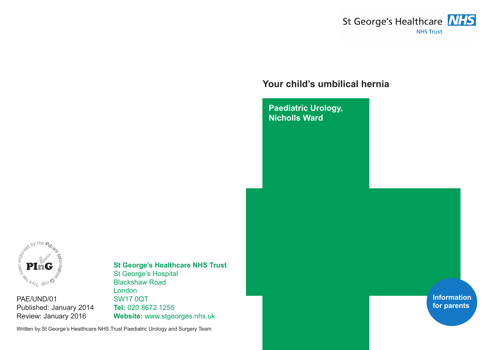

# **Your child's umbilical hernia**

**Paediatric Urology, Nicholls Ward**



PAE/UND/01 Published: January 2014 Review: January 2016

# **St George's Healthcare NHS Trust**

St George's Hospital Blackshaw Road London SW17 0QT **Tel:** 020 8672 1255 **Website:** www.stgeorges.nhs.uk

Written by St George's Healthcare NHS Trust Paediatric Urology and Surgery Team

**Information for parents**